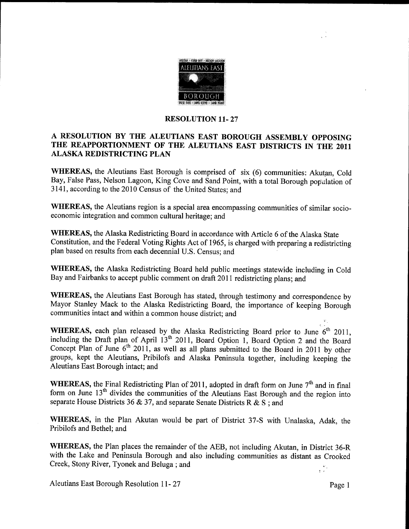

## RESOLUTION 11-27

## A RESOLUTION BY THE ALEUTIANS EAST BOROUGH ASSEMBLY OPPOSING THE REAPPORTIONMENT OF THE ALEUTIANS EAST DISTRICTS IN THE <sup>2011</sup> ALASKA REDISTRICTING PLAN

WHEREAS, the Aleutians East Borough is comprised of six (6) communities: Akutan. Cold Bay, False Pass, Nelson Lagoon, King Cove and Sand Point, with a total Borough population of 3141, according to the 2010 Census of the United States; and

WHEREAS, the Aleutians region is a special area encompassing communities of similar socioeconomic integration and common cultural heritage; and

WHEREAS, the Alaska Redistricting Board in accordance with Article 6 of the Alaska State Constitution, and the Federal Voting Rights Act of 1965, is charged with preparing a redistricting plan based on results from each decennial U.S. Census; and

WHEREAS, the Alaska Redistricting Board held public meetings statewide including in Cold Bay and Fairbanks to accept public comment on draft 2011 redistricting plans; and

WHEREAS, the Aleutians East Borough has stated, through testimony and correspondence by Mayor Stanley Mack to the Alaska Redistricting Board, the importance of keeping Borough communities intact and within a common house district; and

WHEREAS, each plan released by the Alaska Redistricting Board prior to June  $6<sup>th</sup>$  2011, including the Draft plan of April  $13<sup>th</sup>$  2011, Board Option 1, Board Option 2 and the Board Concept Plan of June  $6<sup>th</sup> 2011$ , as well as all plans submitted to the Board in 2011 by other groups, kept the Aleutians, Pribilofs and Alaska Peninsula together, including keeping the Aleutians East Borough intact; and

WHEREAS, the Final Redistricting Plan of 2011, adopted in draft form on June  $7<sup>th</sup>$  and in final form on June  $13<sup>th</sup>$  divides the communities of the Aleutians East Borough and the region into separate House Districts 36 & 37, and separate Senate Districts R & S : and

WHEREAS, in the Plan Akutan would be part of District 37-S with Unalaska, Adak, the Pribilofs and Bethel; and

WHEREAS, the Plan places the remainder of the AEB, not including Akutan, in District 36-R with the Lake and Peninsula Borough and also including communities as distant as Crooked Creek, Stony River, Tyonek and Beluga; and  $\frac{1}{3}$  ,  $\frac{3}{2}$  ,

Aleutians East Borough Resolution 11-27 Page 1